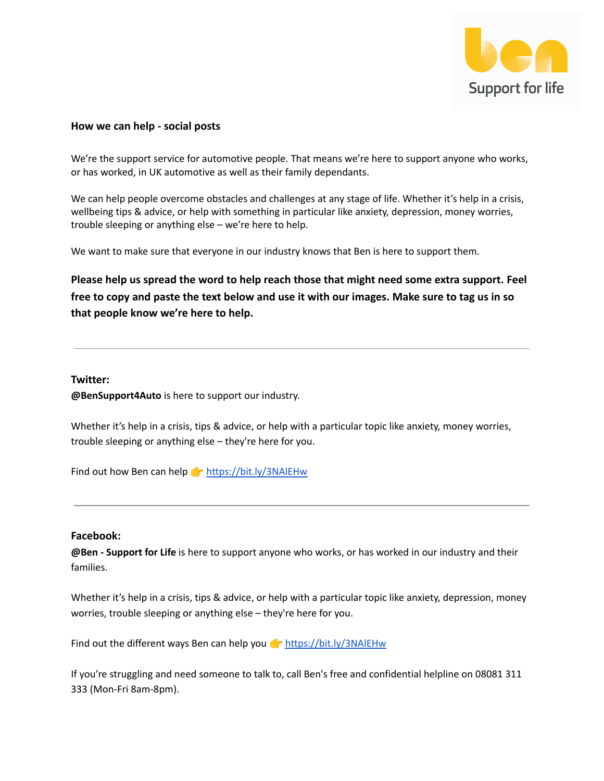

# **How we can help - social posts**

We're the support service for automotive people. That means we're here to support anyone who works, or has worked, in UK automotive as well as their family dependants.

We can help people overcome obstacles and challenges at any stage of life. Whether it's help in a crisis, wellbeing tips & advice, or help with something in particular like anxiety, depression, money worries, trouble sleeping or anything else – we're here to help.

We want to make sure that everyone in our industry knows that Ben is here to support them.

**Please help us spread the word to help reach those that might need some extra support. Feel free to copy and paste the text below and use it with our images. Make sure to tag us in so that people know we're here to help.**

## **Twitter:**

**@BenSupport4Auto** is here to support our industry.

Whether it's help in a crisis, tips & advice, or help with a particular topic like anxiety, money worries, trouble sleeping or anything else – they're here for you.

Find out how Ben can help  $\blacktriangleright$  <https://bit.ly/3NAlEHw>

#### **Facebook:**

**@Ben - Support for Life** is here to support anyone who works, or has worked in our industry and their families.

Whether it's help in a crisis, tips & advice, or help with a particular topic like anxiety, depression, money worries, trouble sleeping or anything else – they're here for you.

Find out the different ways Ben can help you  $\bullet$  <https://bit.ly/3NAlEHw>

If you're struggling and need someone to talk to, call Ben's free and confidential helpline on 08081 311 333 (Mon-Fri 8am-8pm).